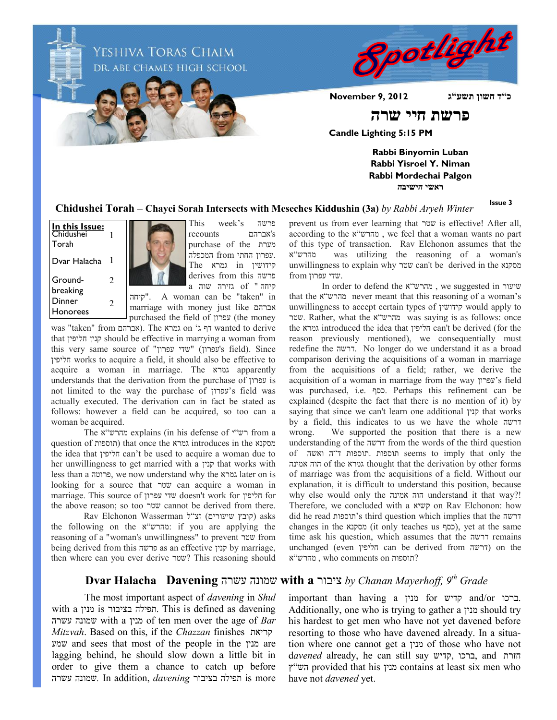

**Issue 3**

**Chidushei Torah – Chayei Sorah Intersects with Meseches Kiddushin (3a)** *by Rabbi Aryeh Winter*

Groundbreaking **In this Issue:** Chidushei Torah Dvar Halacha 1 2 1 Dinner Honorees 2



This week's פרשה recounts אברהם's purchase of the מערת .עפרון החתי from המכפלה קידושין in גמרא The derives from this פרשה קיחה " of גזירה שוה a

קיחה". A woman can be "taken" in marriage with money just like אברהם purchased the field of עפרון) the money

was "taken" from אברהם). The גמרא on 'ג דף ג<br/> wanted to derive that חליפין קנין should be effective in marrying a woman from this very same source of "עפרון" (שדי עפרון "שדי)'s field). Since חליפין works to acquire a field, it should also be effective to acquire a woman in marriage. The גמרא apparently understands that the derivation from the purchase of עפרון is not limited to the way the purchase of עפרון's field was actually executed. The derivation can in fact be stated as follows: however a field can be acquired, so too can a woman be acquired.

The א"מהרש explains (in his defense of י"רש from a question of תוספות (that once the גמרא introduces in the מסקנא the idea that חליפין can't be used to acquire a woman due to her unwillingness to get married with a קנין that works with less than a פרוטה, we now understand why the גמרא later on is looking for a source that שטר can acquire a woman in marriage. This source of עפרון שדי doesn't work for חליפין for the above reason; so too שטר cannot be derived from there.

 asks) קובץ שיעורים) זצ"ל Wasserman Elchonon Rav the following on the א"מהרש: if you are applying the reasoning of a "woman's unwillingness" to prevent שטר from being derived from this פרשה as an effective קנין by marriage, then where can you ever derive שטר ?This reasoning should prevent us from ever learning that שטר is effective! After all, according to the א"מהרש , we feel that a woman wants no part of this type of transaction. Rav Elchonon assumes that the א"מהרש was utilizing the reasoning of a woman's unwillingness to explain why שטר can't be derived in the מסקנא .שדי עפרון from

**ראשי הישיבה**

In order to defend the א"מהרש , we suggested in שיעור that the א"מהרש never meant that this reasoning of a woman's unwillingness to accept certain types of קידושין would apply to שטר. Rather, what the א"מהרש was saying is as follows: once the גמרא introduced the idea that חליפין can't be derived (for the reason previously mentioned), we consequentially must redefine the דרשה. No longer do we understand it as a broad comparison deriving the acquisitions of a woman in marriage from the acquisitions of a field; rather, we derive the acquisition of a woman in marriage from the way עפרון's field was purchased, i.e. כסף. Perhaps this refinement can be explained (despite the fact that there is no mention of it) by saying that since we can't learn one additional קנין that works by a field, this indicates to us we have the whole דרשה wrong. We supported the position that there is a new understanding of the דרשה from the words of the third question of ואשה ה"ד תוספות. תוספות seems to imply that only the אמינה הוה of the גמרא thought that the derivation by other forms of marriage was from the acquisitions of a field. Without our explanation, it is difficult to understand this position, because why else would only the אמינה הוה understand it that way?! Therefore, we concluded with a קשיא on Rav Elchonon: how did he read תוספות's third question which implies that the דרשה changes in the cosquit only teaches us כסף), yet at the same time ask his question, which assumes that the דרשה remains unchanged (even חליפין can be derived from דרשה (on the ?תוספות on comments who , מהרש"א

## **Dvar Halacha** – **Davening** עשרה שמונה **with a** ציבור *by Chanan Mayerhoff, 9th Grade*

The most important aspect of *davening* in *Shul* with a מנין is בציבור תפילה. This is defined as davening עשרה שמונה with a מנין of ten men over the age of *Bar Mitzvah*. Based on this, if the *Chazzan* finishes קריאת שמע and sees that most of the people in the מנין are lagging behind, he should slow down a little bit in order to give them a chance to catch up before עשרה שמונה*.* In addition, *davening* בציבור תפילה is more

important than having a מנין for קדיש and/or ברכו. Additionally, one who is trying to gather a מנין should try his hardest to get men who have not yet davened before resorting to those who have davened already. In a situation where one cannot get a מנין of those who have not d*avened* already, he can still say קדיש, ברכו, and חזרת ץ"הש provided that his מנין contains at least six men who have not *davened* yet.